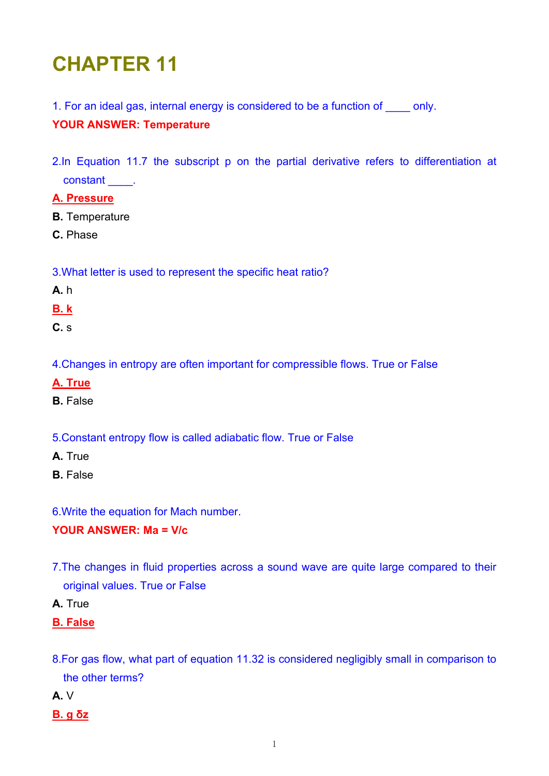# **CHAPTER 11**

1. For an ideal gas, internal energy is considered to be a function of only.

# **YOUR ANSWER: Temperature**

2.In Equation 11.7 the subscript p on the partial derivative refers to differentiation at constant \_\_\_\_.

# **A. Pressure**

**B.** Temperature

**C.** Phase

3.What letter is used to represent the specific heat ratio?

**A.** h

**B. k**

**C.** s

4.Changes in entropy are often important for compressible flows. True or False

- **A. True**
- **B.** False

5.Constant entropy flow is called adiabatic flow. True or False

- **A.** True
- **B.** False
- 6.Write the equation for Mach number.

# **YOUR ANSWER: Ma = V/c**

- 7.The changes in fluid properties across a sound wave are quite large compared to their original values. True or False
- **A.** True

# **B. False**

- 8.For gas flow, what part of equation 11.32 is considered negligibly small in comparison to the other terms?
- **A.** V
- **B. g δz**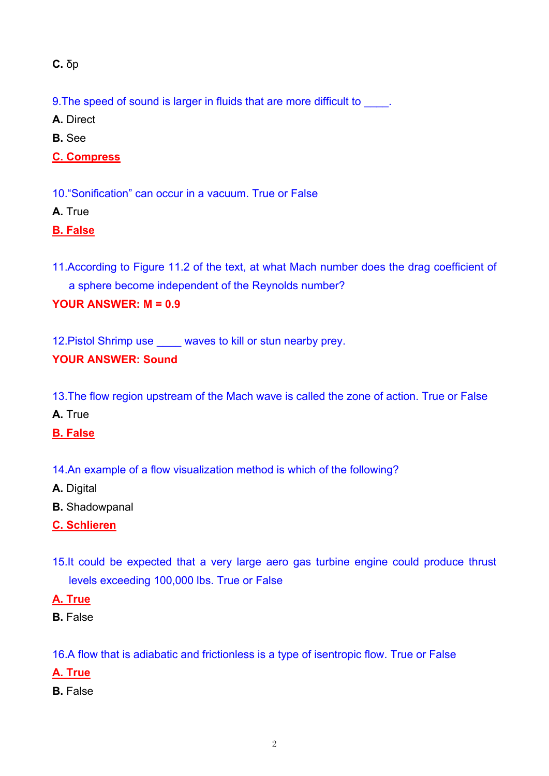**C.** δp

9. The speed of sound is larger in fluids that are more difficult to  $\qquad$ .

**A.** Direct

**B.** See

**C. Compress**

10."Sonification" can occur in a vacuum. True or False

**A.** True

**B. False**

11.According to Figure 11.2 of the text, at what Mach number does the drag coefficient of a sphere become independent of the Reynolds number?

# **YOUR ANSWER: M = 0.9**

12. Pistol Shrimp use waves to kill or stun nearby prey.

# **YOUR ANSWER: Sound**

13.The flow region upstream of the Mach wave is called the zone of action. True or False

**A.** True

**B. False**

- 14.An example of a flow visualization method is which of the following?
- **A.** Digital
- **B.** Shadowpanal
- **C. Schlieren**
- 15.It could be expected that a very large aero gas turbine engine could produce thrust levels exceeding 100,000 lbs. True or False

**A. True**

**B.** False

16.A flow that is adiabatic and frictionless is a type of isentropic flow. True or False

- **A. True**
- **B.** False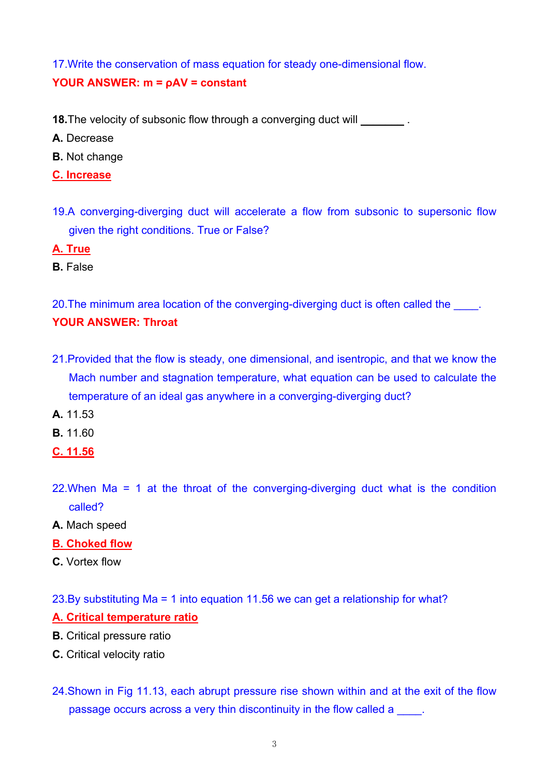17.Write the conservation of mass equation for steady one-dimensional flow. **YOUR ANSWER: m = ρAV = constant** 

- **18.**The velocity of subsonic flow through a converging duct will
- **A.** Decrease
- **B.** Not change
- **C. Increase**
- 19.A converging-diverging duct will accelerate a flow from subsonic to supersonic flow given the right conditions. True or False?
- **A. True**
- **B.** False

20. The minimum area location of the converging-diverging duct is often called the **YOUR ANSWER: Throat** 

- 21.Provided that the flow is steady, one dimensional, and isentropic, and that we know the Mach number and stagnation temperature, what equation can be used to calculate the temperature of an ideal gas anywhere in a converging-diverging duct?
- **A.** 11.53
- **B.** 11.60
- **C. 11.56**
- 22.When Ma = 1 at the throat of the converging-diverging duct what is the condition called?
- **A.** Mach speed
- **B. Choked flow**
- **C.** Vortex flow

23.By substituting Ma = 1 into equation 11.56 we can get a relationship for what?

#### **A. Critical temperature ratio**

- **B.** Critical pressure ratio
- **C.** Critical velocity ratio
- 24.Shown in Fig 11.13, each abrupt pressure rise shown within and at the exit of the flow passage occurs across a very thin discontinuity in the flow called a \_\_\_\_\_.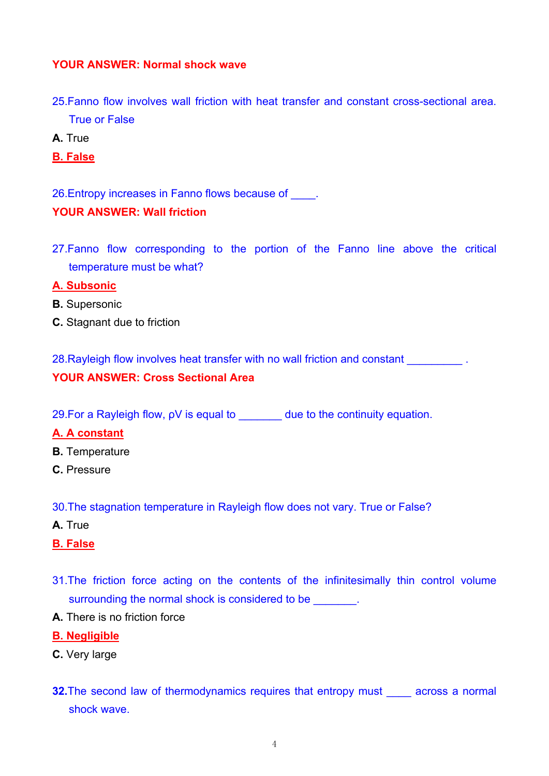# **YOUR ANSWER: Normal shock wave**

- 25.Fanno flow involves wall friction with heat transfer and constant cross-sectional area. True or False
- **A.** True
- **B. False**

26.Entropy increases in Fanno flows because of \_\_\_\_.

# **YOUR ANSWER: Wall friction**

27.Fanno flow corresponding to the portion of the Fanno line above the critical temperature must be what?

#### **A. Subsonic**

- **B.** Supersonic
- **C.** Stagnant due to friction

28. Rayleigh flow involves heat transfer with no wall friction and constant **with**  $\sim$ **YOUR ANSWER: Cross Sectional Area** 

29.For a Rayleigh flow, ρV is equal to \_\_\_\_\_\_\_ due to the continuity equation.

# **A. A constant**

- **B.** Temperature
- **C.** Pressure

30.The stagnation temperature in Rayleigh flow does not vary. True or False?

- **A.** True
- **B. False**
- 31.The friction force acting on the contents of the infinitesimally thin control volume surrounding the normal shock is considered to be  $\qquad \qquad$ .
- **A.** There is no friction force

#### **B. Negligible**

- **C.** Very large
- **32.**The second law of thermodynamics requires that entropy must across a normal shock wave.